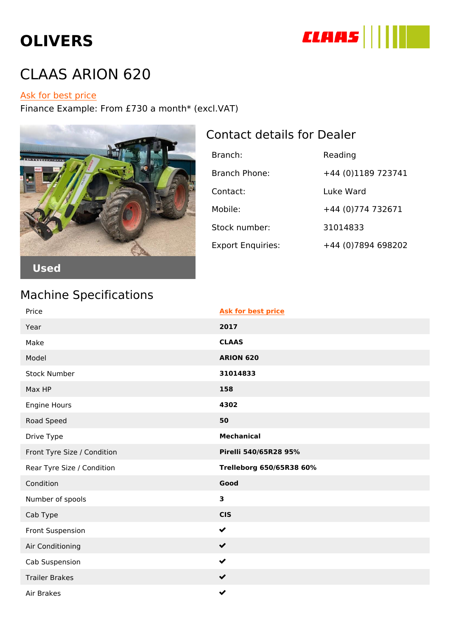# OLIVERS

## CLAAS ARION 620

#### Ask for best price

Finance Exam<sup>c</sup> From £730 a mo(net or \* 1. VAT)

#### Contact details for Dealer

| Branch:           | Reading              |
|-------------------|----------------------|
| Branch Phone:     | +44 (0)1189 723741   |
| Contract:         | Luke Ward            |
| Mobile:           | +44 (0)774 732671    |
| Stock number:     | 31014833             |
| Export Enquiries: | $+44$ (0)7894 698202 |

#### Used

### Machine Specifications

| Price                       | Ask for best price       |
|-----------------------------|--------------------------|
| Year                        | 2017                     |
| Make                        | CLAAS                    |
| Model                       | ARION 620                |
| Stock Number                | 31014833                 |
| Max HP                      | 158                      |
| Engine Hours                | 4302                     |
| Road Speed                  | 50                       |
| Drive Type                  | Mechanical               |
| Front Tyre Size / Condition | Pirelli 540/65R28 95%    |
| Rear Tyre Size / Condition  | Trelleborg 650/65R38 60% |
| Condition                   | Good                     |
| Number of spools            | 3                        |
| Cab Type                    | <b>CIS</b>               |
| Front Suspension            |                          |
| Air Conditioning            |                          |
| Cab Suspension              |                          |
| Trailer Brakes              |                          |
| Air Brakes                  |                          |